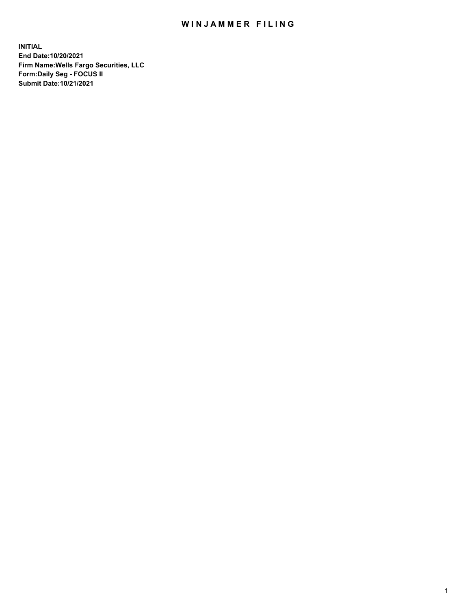## WIN JAMMER FILING

**INITIAL End Date:10/20/2021 Firm Name:Wells Fargo Securities, LLC Form:Daily Seg - FOCUS II Submit Date:10/21/2021**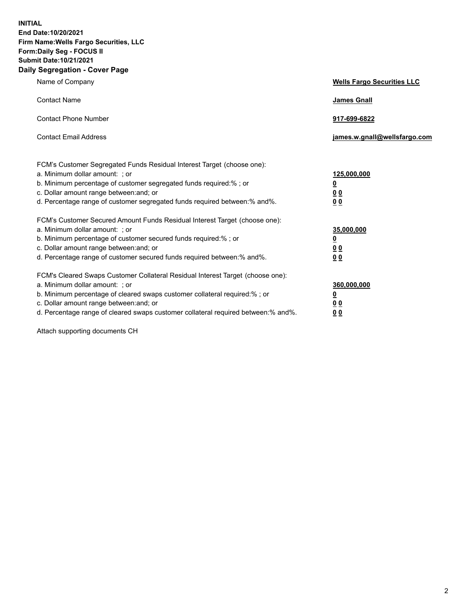**INITIAL End Date:10/20/2021 Firm Name:Wells Fargo Securities, LLC Form:Daily Seg - FOCUS II Submit Date:10/21/2021 Daily Segregation - Cover Page**

| Name of Company                                                                                                                                                                                                                                                                                                               | <b>Wells Fargo Securities LLC</b>                          |
|-------------------------------------------------------------------------------------------------------------------------------------------------------------------------------------------------------------------------------------------------------------------------------------------------------------------------------|------------------------------------------------------------|
| <b>Contact Name</b>                                                                                                                                                                                                                                                                                                           | <b>James Gnall</b>                                         |
| <b>Contact Phone Number</b>                                                                                                                                                                                                                                                                                                   | 917-699-6822                                               |
| <b>Contact Email Address</b>                                                                                                                                                                                                                                                                                                  | james.w.gnall@wellsfargo.com                               |
| FCM's Customer Segregated Funds Residual Interest Target (choose one):<br>a. Minimum dollar amount: ; or<br>b. Minimum percentage of customer segregated funds required:% ; or<br>c. Dollar amount range between: and; or<br>d. Percentage range of customer segregated funds required between:% and%.                        | 125,000,000<br><u>0</u><br>0 <sub>0</sub><br>00            |
| FCM's Customer Secured Amount Funds Residual Interest Target (choose one):<br>a. Minimum dollar amount: ; or<br>b. Minimum percentage of customer secured funds required:%; or<br>c. Dollar amount range between: and; or<br>d. Percentage range of customer secured funds required between: % and %.                         | 35,000,000<br><u>0</u><br>0 <sub>0</sub><br>0 <sub>0</sub> |
| FCM's Cleared Swaps Customer Collateral Residual Interest Target (choose one):<br>a. Minimum dollar amount: ; or<br>b. Minimum percentage of cleared swaps customer collateral required:%; or<br>c. Dollar amount range between: and; or<br>d. Percentage range of cleared swaps customer collateral required between:% and%. | 360,000,000<br><u>0</u><br>00<br>00                        |

Attach supporting documents CH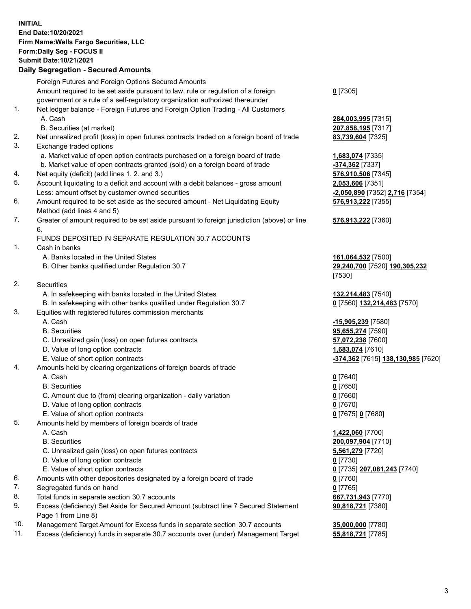**INITIAL End Date:10/20/2021 Firm Name:Wells Fargo Securities, LLC Form:Daily Seg - FOCUS II Submit Date:10/21/2021**

## **Daily Segregation - Secured Amounts**

|     | Foreign Futures and Foreign Options Secured Amounts                                                          |                                    |
|-----|--------------------------------------------------------------------------------------------------------------|------------------------------------|
|     | Amount required to be set aside pursuant to law, rule or regulation of a foreign                             | $0$ [7305]                         |
|     | government or a rule of a self-regulatory organization authorized thereunder                                 |                                    |
| 1.  | Net ledger balance - Foreign Futures and Foreign Option Trading - All Customers                              |                                    |
|     | A. Cash                                                                                                      | 284,003,995 [7315]                 |
|     | B. Securities (at market)                                                                                    | 207,858,195 [7317]                 |
| 2.  | Net unrealized profit (loss) in open futures contracts traded on a foreign board of trade                    | 83,739,604 [7325]                  |
| 3.  | Exchange traded options                                                                                      |                                    |
|     | a. Market value of open option contracts purchased on a foreign board of trade                               | 1,683,074 [7335]                   |
|     | b. Market value of open contracts granted (sold) on a foreign board of trade                                 | $-374,362$ [7337]                  |
| 4.  | Net equity (deficit) (add lines 1. 2. and 3.)                                                                | 576,910,506 [7345]                 |
| 5.  | Account liquidating to a deficit and account with a debit balances - gross amount                            | 2,053,606 [7351]                   |
|     | Less: amount offset by customer owned securities                                                             | -2,050,890 [7352] 2,716 [7354]     |
| 6.  | Amount required to be set aside as the secured amount - Net Liquidating Equity<br>Method (add lines 4 and 5) | 576,913,222 [7355]                 |
| 7.  | Greater of amount required to be set aside pursuant to foreign jurisdiction (above) or line                  | 576,913,222 [7360]                 |
|     | 6.                                                                                                           |                                    |
|     | FUNDS DEPOSITED IN SEPARATE REGULATION 30.7 ACCOUNTS                                                         |                                    |
| 1.  | Cash in banks                                                                                                |                                    |
|     | A. Banks located in the United States                                                                        | 161,064,532 [7500]                 |
|     | B. Other banks qualified under Regulation 30.7                                                               | 29,240,700 [7520] 190,305,232      |
|     |                                                                                                              | [7530]                             |
| 2.  | <b>Securities</b>                                                                                            |                                    |
|     | A. In safekeeping with banks located in the United States                                                    | 132,214,483 [7540]                 |
|     | B. In safekeeping with other banks qualified under Regulation 30.7                                           | 0 [7560] 132,214,483 [7570]        |
| 3.  | Equities with registered futures commission merchants                                                        |                                    |
|     | A. Cash                                                                                                      | -15,905,239 [7580]                 |
|     | <b>B.</b> Securities                                                                                         | 95,655,274 [7590]                  |
|     |                                                                                                              |                                    |
|     | C. Unrealized gain (loss) on open futures contracts<br>D. Value of long option contracts                     | 57,072,238 [7600]                  |
|     |                                                                                                              | 1,683,074 [7610]                   |
|     | E. Value of short option contracts                                                                           | -374,362 [7615] 138,130,985 [7620] |
| 4.  | Amounts held by clearing organizations of foreign boards of trade                                            |                                    |
|     | A. Cash                                                                                                      | $0$ [7640]                         |
|     | <b>B.</b> Securities                                                                                         | $0$ [7650]                         |
|     | C. Amount due to (from) clearing organization - daily variation                                              | $0$ [7660]                         |
|     | D. Value of long option contracts                                                                            | $0$ [7670]                         |
|     | E. Value of short option contracts                                                                           | 0 [7675] 0 [7680]                  |
| 5.  | Amounts held by members of foreign boards of trade                                                           |                                    |
|     | A. Cash                                                                                                      | 1,422,060 [7700]                   |
|     | <b>B.</b> Securities                                                                                         | 200,097,904 [7710]                 |
|     | C. Unrealized gain (loss) on open futures contracts                                                          | 5,561,279 [7720]                   |
|     | D. Value of long option contracts                                                                            | $0$ [7730]                         |
|     | E. Value of short option contracts                                                                           | 0 [7735] 207,081,243 [7740]        |
| 6.  | Amounts with other depositories designated by a foreign board of trade                                       | $0$ [7760]                         |
| 7.  | Segregated funds on hand                                                                                     | $0$ [7765]                         |
| 8.  | Total funds in separate section 30.7 accounts                                                                | 667,731,943 [7770]                 |
| 9.  | Excess (deficiency) Set Aside for Secured Amount (subtract line 7 Secured Statement<br>Page 1 from Line 8)   | 90,818,721 [7380]                  |
| 10. | Management Target Amount for Excess funds in separate section 30.7 accounts                                  | 35,000,000 [7780]                  |

11. Excess (deficiency) funds in separate 30.7 accounts over (under) Management Target **55,818,721** [7785]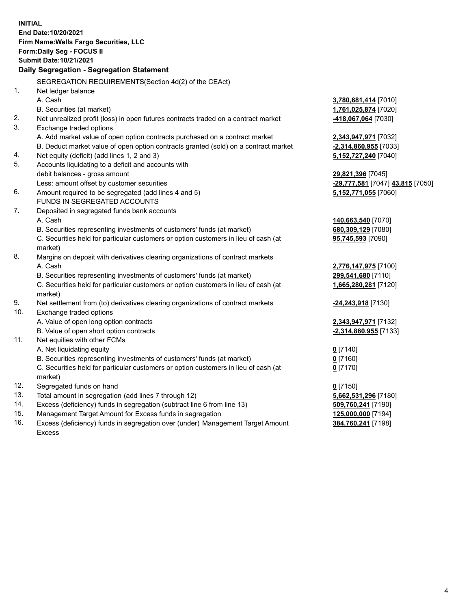**INITIAL End Date:10/20/2021 Firm Name:Wells Fargo Securities, LLC Form:Daily Seg - FOCUS II Submit Date:10/21/2021 Daily Segregation - Segregation Statement** SEGREGATION REQUIREMENTS(Section 4d(2) of the CEAct) 1. Net ledger balance A. Cash **3,780,681,414** [7010] B. Securities (at market) **1,761,025,874** [7020] 2. Net unrealized profit (loss) in open futures contracts traded on a contract market **-418,067,064** [7030] 3. Exchange traded options A. Add market value of open option contracts purchased on a contract market **2,343,947,971** [7032] B. Deduct market value of open option contracts granted (sold) on a contract market **-2,314,860,955** [7033] 4. Net equity (deficit) (add lines 1, 2 and 3) **5,152,727,240** [7040] 5. Accounts liquidating to a deficit and accounts with debit balances - gross amount **29,821,396** [7045] Less: amount offset by customer securities **-29,777,581** [7047] **43,815** [7050] 6. Amount required to be segregated (add lines 4 and 5) **5,152,771,055** [7060] FUNDS IN SEGREGATED ACCOUNTS 7. Deposited in segregated funds bank accounts A. Cash **140,663,540** [7070] B. Securities representing investments of customers' funds (at market) **680,309,129** [7080] C. Securities held for particular customers or option customers in lieu of cash (at market) **95,745,593** [7090] 8. Margins on deposit with derivatives clearing organizations of contract markets A. Cash **2,776,147,975** [7100] B. Securities representing investments of customers' funds (at market) **299,541,680** [7110] C. Securities held for particular customers or option customers in lieu of cash (at market) **1,665,280,281** [7120] 9. Net settlement from (to) derivatives clearing organizations of contract markets **-24,243,918** [7130] 10. Exchange traded options A. Value of open long option contracts **2,343,947,971** [7132] B. Value of open short option contracts **-2,314,860,955** [7133] 11. Net equities with other FCMs A. Net liquidating equity **0** [7140] B. Securities representing investments of customers' funds (at market) **0** [7160] C. Securities held for particular customers or option customers in lieu of cash (at market) **0** [7170] 12. Segregated funds on hand **0** [7150] 13. Total amount in segregation (add lines 7 through 12) **5,662,531,296** [7180] 14. Excess (deficiency) funds in segregation (subtract line 6 from line 13) **509,760,241** [7190]

- 15. Management Target Amount for Excess funds in segregation **125,000,000** [7194]
- 16. Excess (deficiency) funds in segregation over (under) Management Target Amount Excess

**384,760,241** [7198]